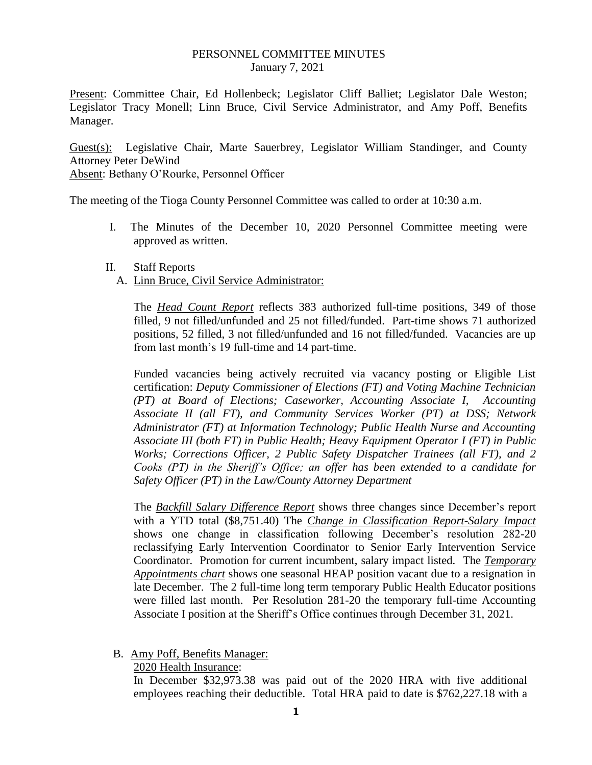## PERSONNEL COMMITTEE MINUTES January 7, 2021

Present: Committee Chair, Ed Hollenbeck; Legislator Cliff Balliet; Legislator Dale Weston; Legislator Tracy Monell; Linn Bruce, Civil Service Administrator, and Amy Poff, Benefits Manager.

Guest(s): Legislative Chair, Marte Sauerbrey, Legislator William Standinger, and County Attorney Peter DeWind Absent: Bethany O'Rourke, Personnel Officer

The meeting of the Tioga County Personnel Committee was called to order at 10:30 a.m.

- I. The Minutes of the December 10, 2020 Personnel Committee meeting were approved as written.
- II. Staff Reports
	- A. Linn Bruce, Civil Service Administrator:

The *Head Count Report* reflects 383 authorized full-time positions, 349 of those filled, 9 not filled/unfunded and 25 not filled/funded. Part-time shows 71 authorized positions, 52 filled, 3 not filled/unfunded and 16 not filled/funded. Vacancies are up from last month's 19 full-time and 14 part-time.

Funded vacancies being actively recruited via vacancy posting or Eligible List certification: *Deputy Commissioner of Elections (FT) and Voting Machine Technician (PT) at Board of Elections; Caseworker, Accounting Associate I, Accounting Associate II (all FT), and Community Services Worker (PT) at DSS; Network Administrator (FT) at Information Technology; Public Health Nurse and Accounting Associate III (both FT) in Public Health; Heavy Equipment Operator I (FT) in Public Works; Corrections Officer, 2 Public Safety Dispatcher Trainees (all FT), and 2 Cooks (PT) in the Sheriff's Office; an offer has been extended to a candidate for Safety Officer (PT) in the Law/County Attorney Department*

The *Backfill Salary Difference Report* shows three changes since December's report with a YTD total (\$8,751.40) The *Change in Classification Report-Salary Impact* shows one change in classification following December's resolution 282-20 reclassifying Early Intervention Coordinator to Senior Early Intervention Service Coordinator. Promotion for current incumbent, salary impact listed. The *Temporary Appointments chart* shows one seasonal HEAP position vacant due to a resignation in late December. The 2 full-time long term temporary Public Health Educator positions were filled last month. Per Resolution 281-20 the temporary full-time Accounting Associate I position at the Sheriff's Office continues through December 31, 2021.

B. Amy Poff, Benefits Manager:

2020 Health Insurance:

In December \$32,973.38 was paid out of the 2020 HRA with five additional employees reaching their deductible. Total HRA paid to date is \$762,227.18 with a